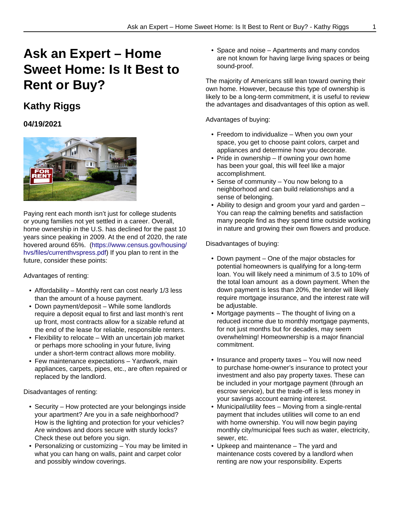## **Ask an Expert – Home Sweet Home: Is It Best to Rent or Buy?**

## **Kathy Riggs**

## **04/19/2021**



Paying rent each month isn't just for college students or young families not yet settled in a career. Overall, home ownership in the U.S. has declined for the past 10 years since peaking in 2009. At the end of 2020, the rate hovered around 65%. [\(https://www.census.gov/housing/](https://www.census.gov/housing/hvs/files/currenthvspress.pdf) [hvs/files/currenthvspress.pdf\)](https://www.census.gov/housing/hvs/files/currenthvspress.pdf) If you plan to rent in the future, consider these points:

## Advantages of renting:

- Affordability Monthly rent can cost nearly 1/3 less than the amount of a house payment.
- Down payment/deposit While some landlords require a deposit equal to first and last month's rent up front, most contracts allow for a sizable refund at the end of the lease for reliable, responsible renters.
- Flexibility to relocate With an uncertain job market or perhaps more schooling in your future, living under a short-term contract allows more mobility.
- Few maintenance expectations Yardwork, main appliances, carpets, pipes, etc., are often repaired or replaced by the landlord.

Disadvantages of renting:

- Security How protected are your belongings inside your apartment? Are you in a safe neighborhood? How is the lighting and protection for your vehicles? Are windows and doors secure with sturdy locks? Check these out before you sign.
- Personalizing or customizing You may be limited in what you can hang on walls, paint and carpet color and possibly window coverings.

• Space and noise – Apartments and many condos are not known for having large living spaces or being sound-proof.

The majority of Americans still lean toward owning their own home. However, because this type of ownership is likely to be a long-term commitment, it is useful to review the advantages and disadvantages of this option as well.

Advantages of buying:

- Freedom to individualize When you own your space, you get to choose paint colors, carpet and appliances and determine how you decorate.
- Pride in ownership If owning your own home has been your goal, this will feel like a major accomplishment.
- Sense of community You now belong to a neighborhood and can build relationships and a sense of belonging.
- Ability to design and groom your yard and garden You can reap the calming benefits and satisfaction many people find as they spend time outside working in nature and growing their own flowers and produce.

Disadvantages of buying:

- Down payment One of the major obstacles for potential homeowners is qualifying for a long-term loan. You will likely need a minimum of 3.5 to 10% of the total loan amount as a down payment. When the down payment is less than 20%, the lender will likely require mortgage insurance, and the interest rate will be adjustable.
- Mortgage payments The thought of living on a reduced income due to monthly mortgage payments, for not just months but for decades, may seem overwhelming! Homeownership is a major financial commitment.
- Insurance and property taxes You will now need to purchase home-owner's insurance to protect your investment and also pay property taxes. These can be included in your mortgage payment (through an escrow service), but the trade-off is less money in your savings account earning interest.
- Municipal/utility fees Moving from a single-rental payment that includes utilities will come to an end with home ownership. You will now begin paying monthly city/municipal fees such as water, electricity, sewer, etc.
- Upkeep and maintenance The yard and maintenance costs covered by a landlord when renting are now your responsibility. Experts